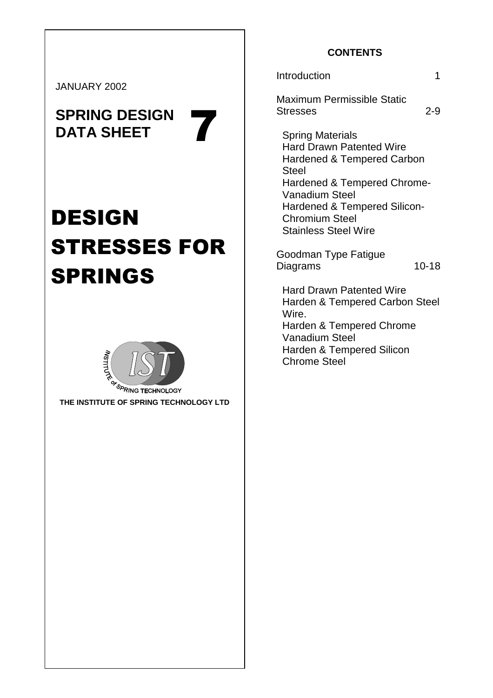JANUARY 2002

# **SPRING DESIGN**  SPRING DESIGN<br>DATA SHEET

# DESIGN STRESSES FOR SPRINGS



<sup>O</sup>RING TECHNOLOGY **THE INSTITUTE OF SPRING TECHNOLOGY LTD** 

# **CONTENTS**

#### Introduction 1

Maximum Permissible Static Stresses 2-9

Spring Materials Hard Drawn Patented Wire Hardened & Tempered Carbon Steel Hardened & Tempered Chrome-Vanadium Steel Hardened & Tempered Silicon-Chromium Steel Stainless Steel Wire

Goodman Type Fatigue Diagrams 10-18

Hard Drawn Patented Wire Harden & Tempered Carbon Steel Wire. Harden & Tempered Chrome Vanadium Steel

Harden & Tempered Silicon Chrome Steel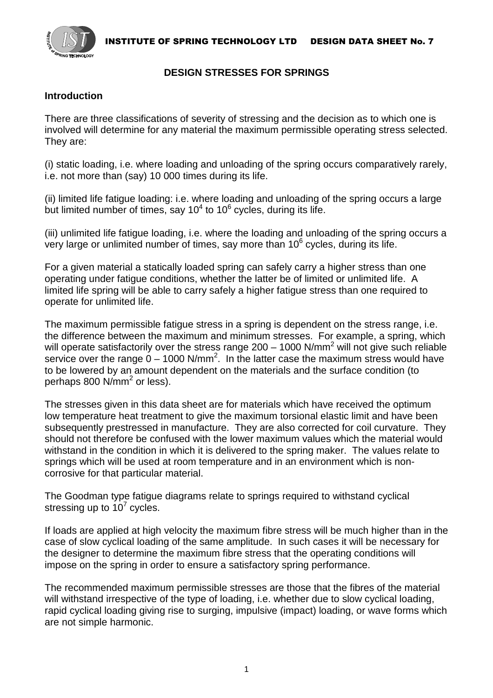INSTITUTE OF SPRING TECHNOLOGY LTD DESIGN DATA SHEET No. 7



#### **DESIGN STRESSES FOR SPRINGS**

### **Introduction**

There are three classifications of severity of stressing and the decision as to which one is involved will determine for any material the maximum permissible operating stress selected. They are:

(i) static loading, i.e. where loading and unloading of the spring occurs comparatively rarely, i.e. not more than (say) 10 000 times during its life.

(ii) limited life fatigue loading: i.e. where loading and unloading of the spring occurs a large but limited number of times, say 10 $4$  to 10 $6$  cycles, during its life.

(iii) unlimited life fatigue loading, i.e. where the loading and unloading of the spring occurs a very large or unlimited number of times, say more than 10 $<sup>6</sup>$  cycles, during its life.</sup>

For a given material a statically loaded spring can safely carry a higher stress than one operating under fatigue conditions, whether the latter be of limited or unlimited life. A limited life spring will be able to carry safely a higher fatigue stress than one required to operate for unlimited life.

The maximum permissible fatigue stress in a spring is dependent on the stress range, i.e. the difference between the maximum and minimum stresses. For example, a spring, which will operate satisfactorily over the stress range 200 – 1000 N/mm<sup>2</sup> will not give such reliable service over the range  $0 - 1000$  N/mm<sup>2</sup>. In the latter case the maximum stress would have to be lowered by an amount dependent on the materials and the surface condition (to perhaps 800 N/mm<sup>2</sup> or less).

The stresses given in this data sheet are for materials which have received the optimum low temperature heat treatment to give the maximum torsional elastic limit and have been subsequently prestressed in manufacture. They are also corrected for coil curvature. They should not therefore be confused with the lower maximum values which the material would withstand in the condition in which it is delivered to the spring maker. The values relate to springs which will be used at room temperature and in an environment which is noncorrosive for that particular material.

The Goodman type fatigue diagrams relate to springs required to withstand cyclical stressing up to  $10^7$  cycles.

If loads are applied at high velocity the maximum fibre stress will be much higher than in the case of slow cyclical loading of the same amplitude. In such cases it will be necessary for the designer to determine the maximum fibre stress that the operating conditions will impose on the spring in order to ensure a satisfactory spring performance.

The recommended maximum permissible stresses are those that the fibres of the material will withstand irrespective of the type of loading, i.e. whether due to slow cyclical loading, rapid cyclical loading giving rise to surging, impulsive (impact) loading, or wave forms which are not simple harmonic.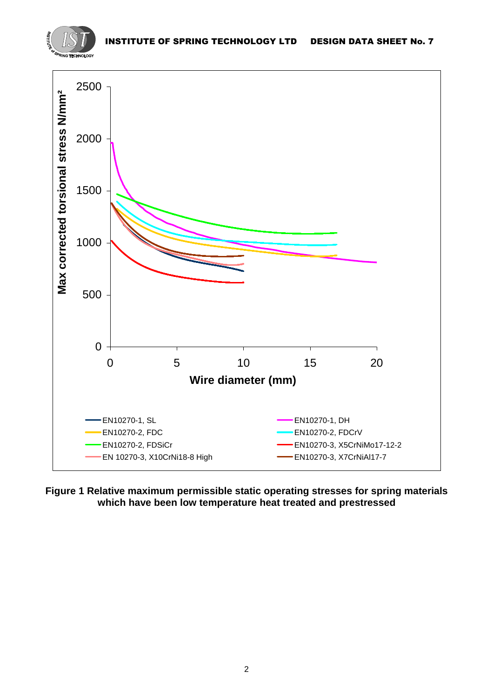



**Figure 1 Relative maximum permissible static operating stresses for spring materials which have been low temperature heat treated and prestressed**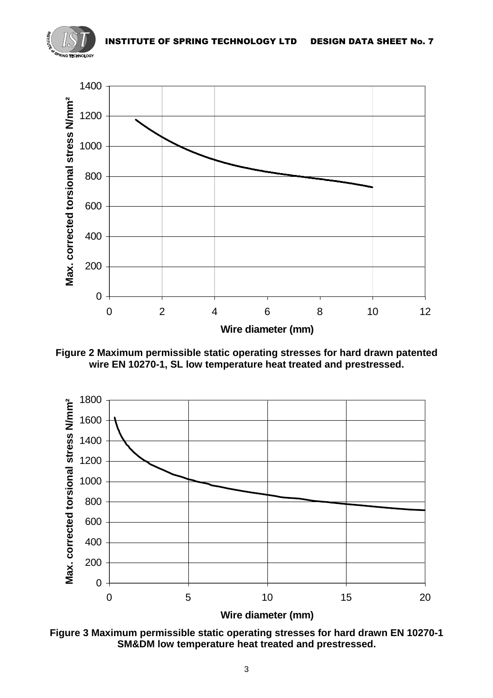



**Figure 2 Maximum permissible static operating stresses for hard drawn patented wire EN 10270-1, SL low temperature heat treated and prestressed.** 



**Figure 3 Maximum permissible static operating stresses for hard drawn EN 10270-1 SM&DM low temperature heat treated and prestressed.**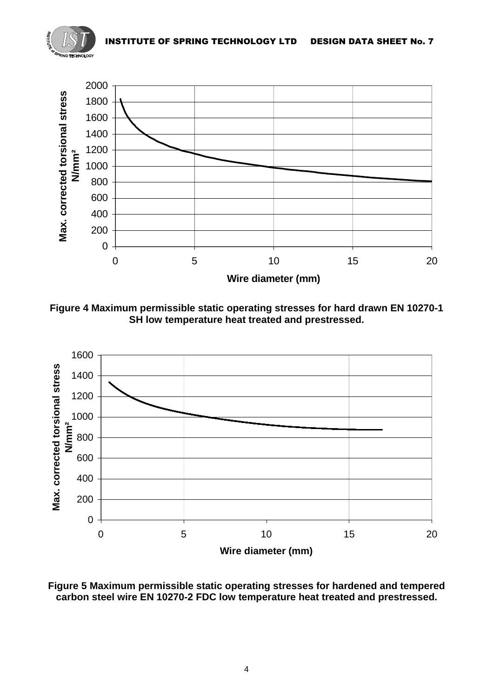



**Figure 4 Maximum permissible static operating stresses for hard drawn EN 10270-1 SH low temperature heat treated and prestressed.** 



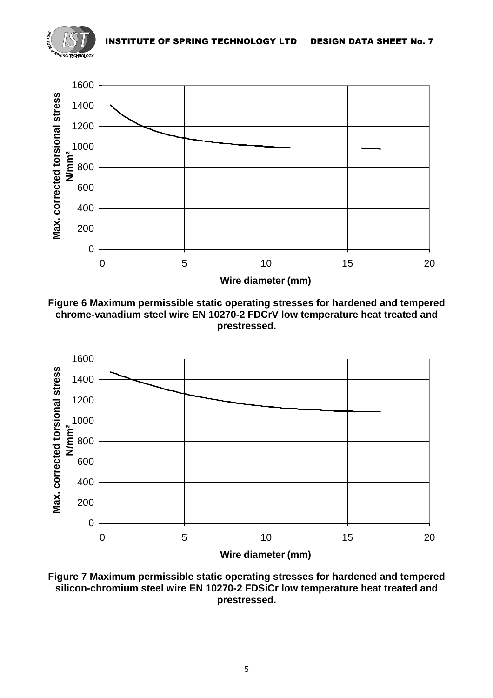







**Figure 7 Maximum permissible static operating stresses for hardened and tempered silicon-chromium steel wire EN 10270-2 FDSiCr low temperature heat treated and prestressed.**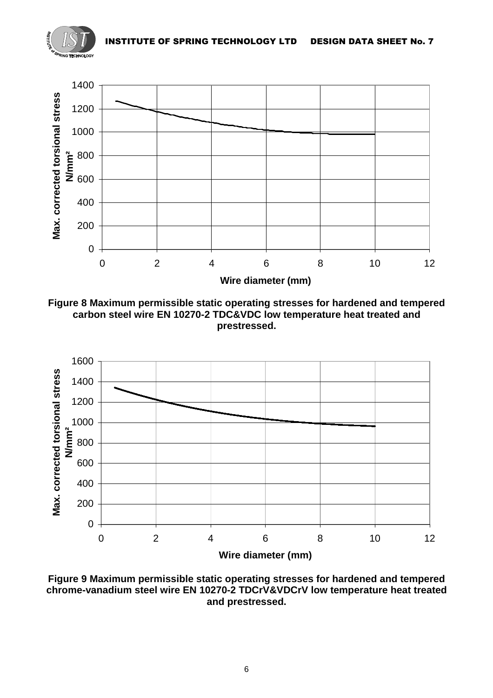



**Figure 8 Maximum permissible static operating stresses for hardened and tempered carbon steel wire EN 10270-2 TDC&VDC low temperature heat treated and prestressed.** 



**Figure 9 Maximum permissible static operating stresses for hardened and tempered chrome-vanadium steel wire EN 10270-2 TDCrV&VDCrV low temperature heat treated and prestressed.**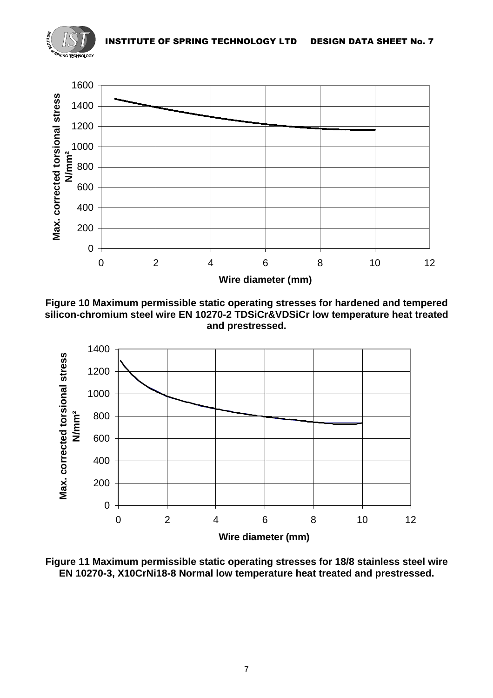



**Figure 10 Maximum permissible static operating stresses for hardened and tempered silicon-chromium steel wire EN 10270-2 TDSiCr&VDSiCr low temperature heat treated and prestressed.**



**Figure 11 Maximum permissible static operating stresses for 18/8 stainless steel wire EN 10270-3, X10CrNi18-8 Normal low temperature heat treated and prestressed.**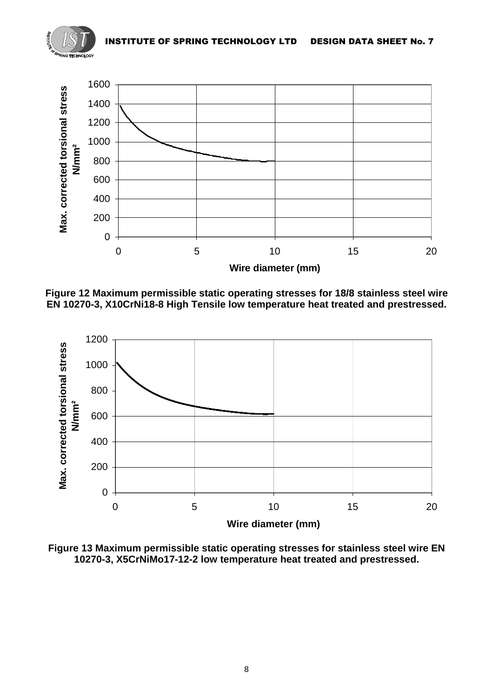



**Figure 12 Maximum permissible static operating stresses for 18/8 stainless steel wire EN 10270-3, X10CrNi18-8 High Tensile low temperature heat treated and prestressed.** 



**Figure 13 Maximum permissible static operating stresses for stainless steel wire EN 10270-3, X5CrNiMo17-12-2 low temperature heat treated and prestressed.**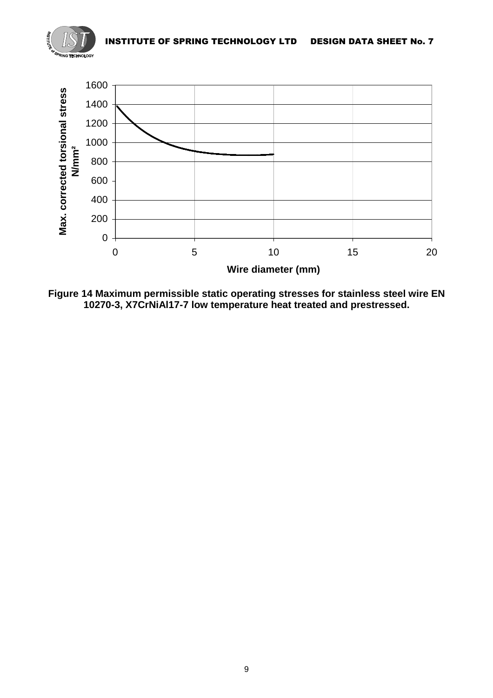



**Figure 14 Maximum permissible static operating stresses for stainless steel wire EN 10270-3, X7CrNiAl17-7 low temperature heat treated and prestressed.**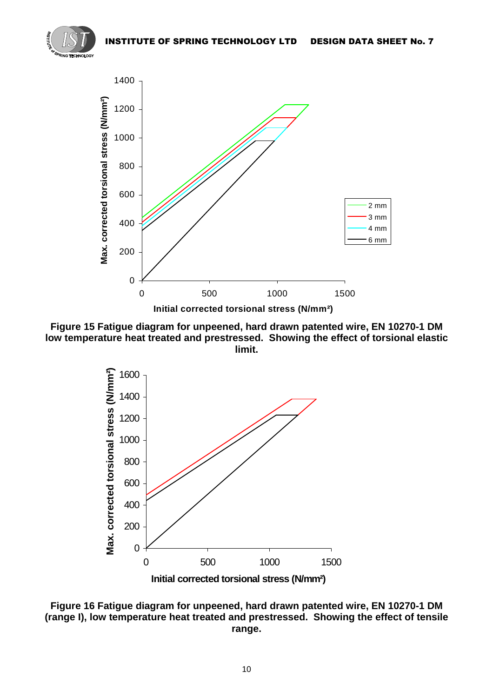







**Figure 16 Fatigue diagram for unpeened, hard drawn patented wire, EN 10270-1 DM (range I), low temperature heat treated and prestressed. Showing the effect of tensile range.**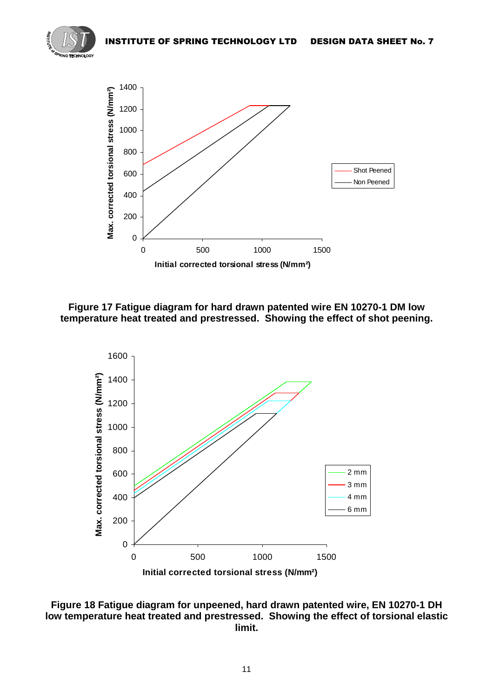



**Figure 17 Fatigue diagram for hard drawn patented wire EN 10270-1 DM low temperature heat treated and prestressed. Showing the effect of shot peening.** 



**Figure 18 Fatigue diagram for unpeened, hard drawn patented wire, EN 10270-1 DH low temperature heat treated and prestressed. Showing the effect of torsional elastic limit.**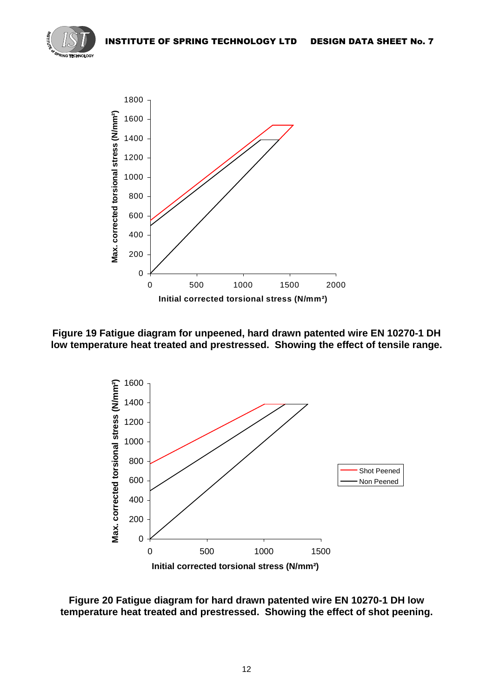



**Figure 19 Fatigue diagram for unpeened, hard drawn patented wire EN 10270-1 DH low temperature heat treated and prestressed. Showing the effect of tensile range.** 



**Figure 20 Fatigue diagram for hard drawn patented wire EN 10270-1 DH low temperature heat treated and prestressed. Showing the effect of shot peening.**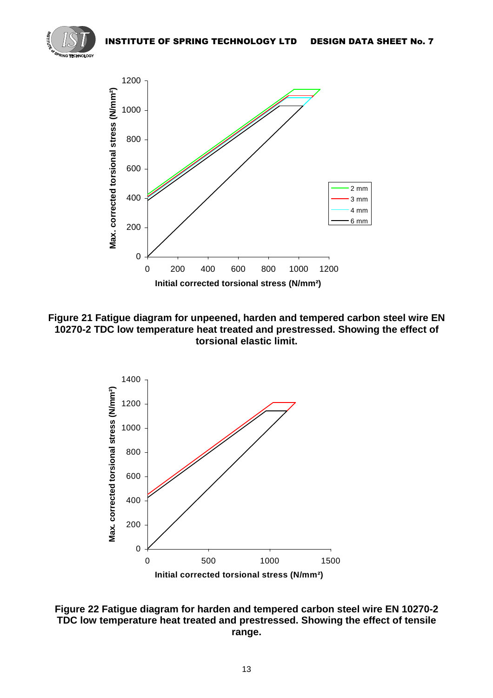



**Figure 21 Fatigue diagram for unpeened, harden and tempered carbon steel wire EN 10270-2 TDC low temperature heat treated and prestressed. Showing the effect of torsional elastic limit.** 



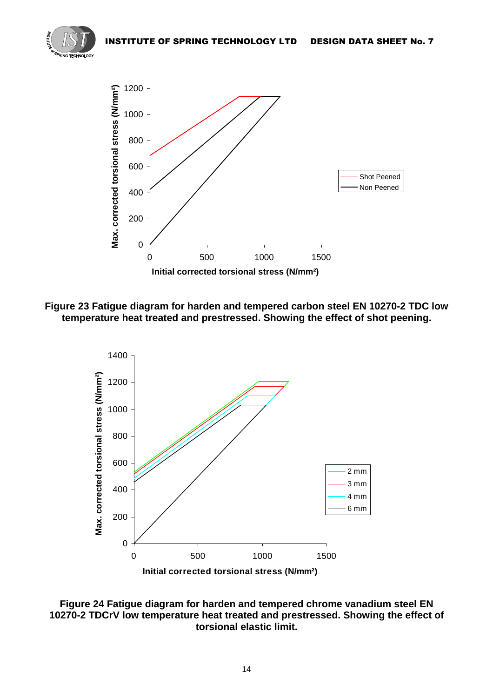



# **Figure 23 Fatigue diagram for harden and tempered carbon steel EN 10270-2 TDC low temperature heat treated and prestressed. Showing the effect of shot peening.**



## **Figure 24 Fatigue diagram for harden and tempered chrome vanadium steel EN 10270-2 TDCrV low temperature heat treated and prestressed. Showing the effect of torsional elastic limit.**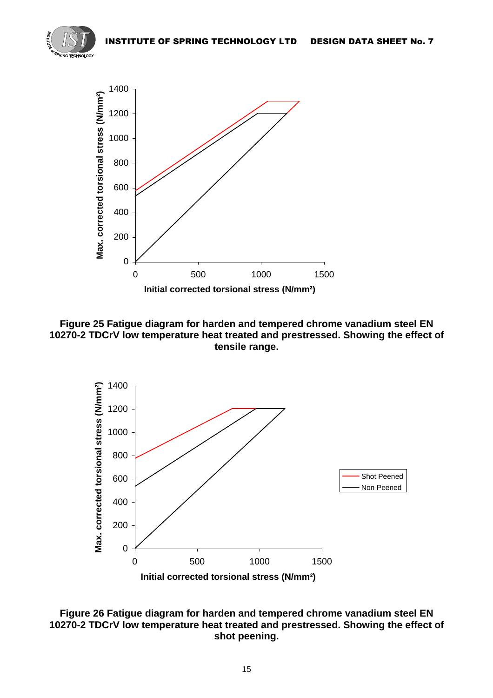





#### **Figure 26 Fatigue diagram for harden and tempered chrome vanadium steel EN 10270-2 TDCrV low temperature heat treated and prestressed. Showing the effect of shot peening.**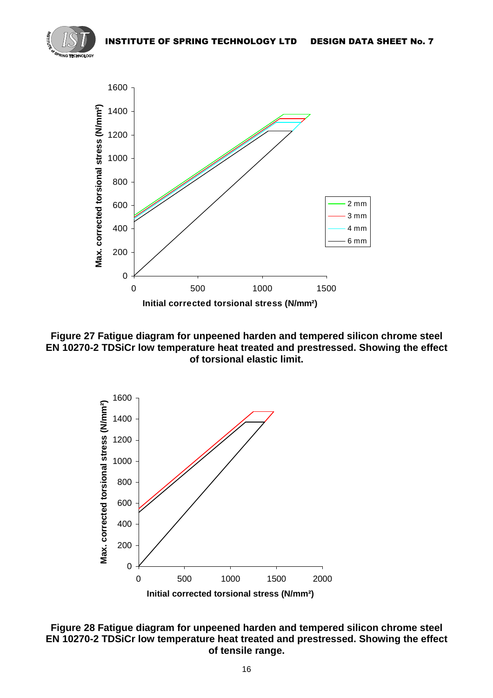







#### **Figure 28 Fatigue diagram for unpeened harden and tempered silicon chrome steel EN 10270-2 TDSiCr low temperature heat treated and prestressed. Showing the effect of tensile range.**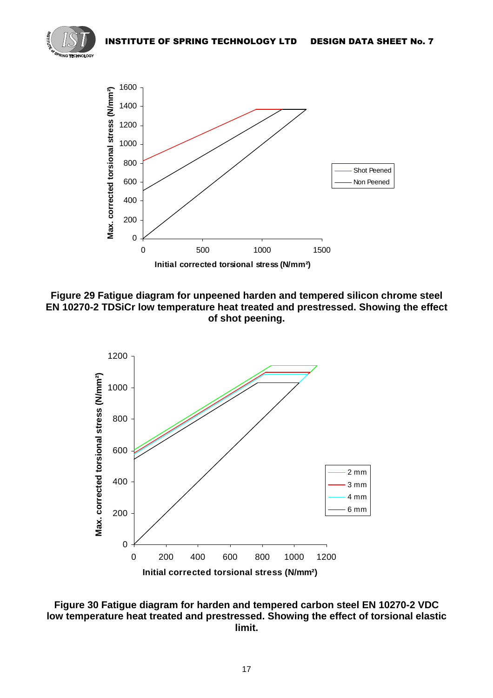

**Figure 29 Fatigue diagram for unpeened harden and tempered silicon chrome steel EN 10270-2 TDSiCr low temperature heat treated and prestressed. Showing the effect of shot peening.** 



**Figure 30 Fatigue diagram for harden and tempered carbon steel EN 10270-2 VDC low temperature heat treated and prestressed. Showing the effect of torsional elastic limit.**